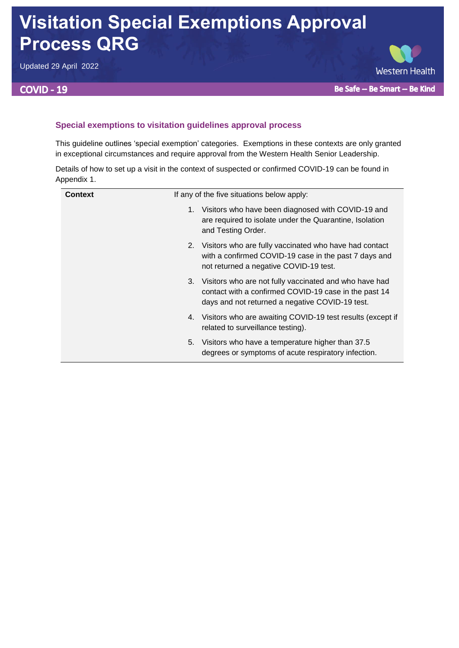# **Visitation Special Exemptions Approval Process QRG**

Updated 29 April 2022

## **COVID - 19**



### **Special exemptions to visitation guidelines approval process**

This guideline outlines 'special exemption' categories. Exemptions in these contexts are only granted in exceptional circumstances and require approval from the Western Health Senior Leadership.

Details of how to set up a visit in the context of suspected or confirmed COVID-19 can be found in Appendix 1.

| <b>Context</b> | If any of the five situations below apply:                                                                                                                               |  |
|----------------|--------------------------------------------------------------------------------------------------------------------------------------------------------------------------|--|
|                | Visitors who have been diagnosed with COVID-19 and<br>1.<br>are required to isolate under the Quarantine, Isolation<br>and Testing Order.                                |  |
|                | Visitors who are fully vaccinated who have had contact<br>2.<br>with a confirmed COVID-19 case in the past 7 days and<br>not returned a negative COVID-19 test.          |  |
|                | Visitors who are not fully vaccinated and who have had<br>3.<br>contact with a confirmed COVID-19 case in the past 14<br>days and not returned a negative COVID-19 test. |  |
|                | 4. Visitors who are awaiting COVID-19 test results (except if<br>related to surveillance testing).                                                                       |  |
|                | Visitors who have a temperature higher than 37.5<br>5.<br>degrees or symptoms of acute respiratory infection.                                                            |  |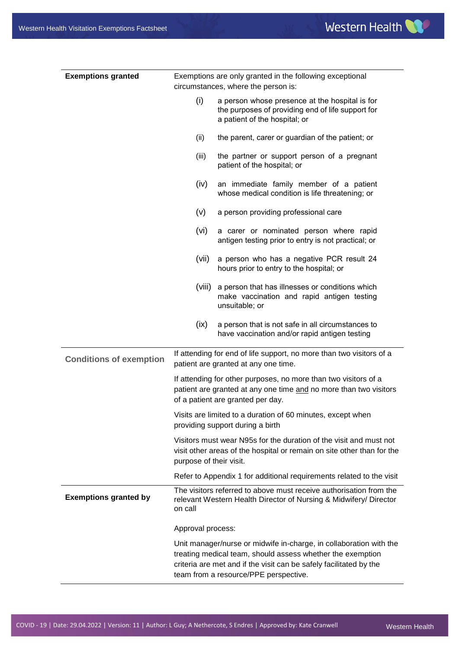| <b>Exemptions granted</b>      | Exemptions are only granted in the following exceptional<br>circumstances, where the person is:                                                                                                                                                                                           |                                                                                                                                      |  |  |
|--------------------------------|-------------------------------------------------------------------------------------------------------------------------------------------------------------------------------------------------------------------------------------------------------------------------------------------|--------------------------------------------------------------------------------------------------------------------------------------|--|--|
|                                | (i)                                                                                                                                                                                                                                                                                       | a person whose presence at the hospital is for<br>the purposes of providing end of life support for<br>a patient of the hospital; or |  |  |
|                                | (ii)                                                                                                                                                                                                                                                                                      | the parent, carer or guardian of the patient; or                                                                                     |  |  |
|                                | (iii)                                                                                                                                                                                                                                                                                     | the partner or support person of a pregnant<br>patient of the hospital; or                                                           |  |  |
|                                | (iv)                                                                                                                                                                                                                                                                                      | an immediate family member of a patient<br>whose medical condition is life threatening; or                                           |  |  |
|                                | (v)                                                                                                                                                                                                                                                                                       | a person providing professional care                                                                                                 |  |  |
|                                | (vi)                                                                                                                                                                                                                                                                                      | a carer or nominated person where rapid<br>antigen testing prior to entry is not practical; or                                       |  |  |
|                                | (vii)                                                                                                                                                                                                                                                                                     | a person who has a negative PCR result 24<br>hours prior to entry to the hospital; or                                                |  |  |
|                                | (viii)                                                                                                                                                                                                                                                                                    | a person that has illnesses or conditions which<br>make vaccination and rapid antigen testing<br>unsuitable; or                      |  |  |
|                                | (ix)                                                                                                                                                                                                                                                                                      | a person that is not safe in all circumstances to<br>have vaccination and/or rapid antigen testing                                   |  |  |
| <b>Conditions of exemption</b> | If attending for end of life support, no more than two visitors of a<br>patient are granted at any one time.<br>If attending for other purposes, no more than two visitors of a<br>patient are granted at any one time and no more than two visitors<br>of a patient are granted per day. |                                                                                                                                      |  |  |
|                                |                                                                                                                                                                                                                                                                                           |                                                                                                                                      |  |  |
|                                |                                                                                                                                                                                                                                                                                           | Visits are limited to a duration of 60 minutes, except when<br>providing support during a birth                                      |  |  |
|                                | Visitors must wear N95s for the duration of the visit and must not<br>visit other areas of the hospital or remain on site other than for the<br>purpose of their visit.                                                                                                                   |                                                                                                                                      |  |  |
|                                |                                                                                                                                                                                                                                                                                           | Refer to Appendix 1 for additional requirements related to the visit                                                                 |  |  |
| <b>Exemptions granted by</b>   | The visitors referred to above must receive authorisation from the<br>relevant Western Health Director of Nursing & Midwifery/ Director<br>on call                                                                                                                                        |                                                                                                                                      |  |  |
|                                |                                                                                                                                                                                                                                                                                           | Approval process:                                                                                                                    |  |  |
|                                | Unit manager/nurse or midwife in-charge, in collaboration with the<br>treating medical team, should assess whether the exemption<br>criteria are met and if the visit can be safely facilitated by the<br>team from a resource/PPE perspective.                                           |                                                                                                                                      |  |  |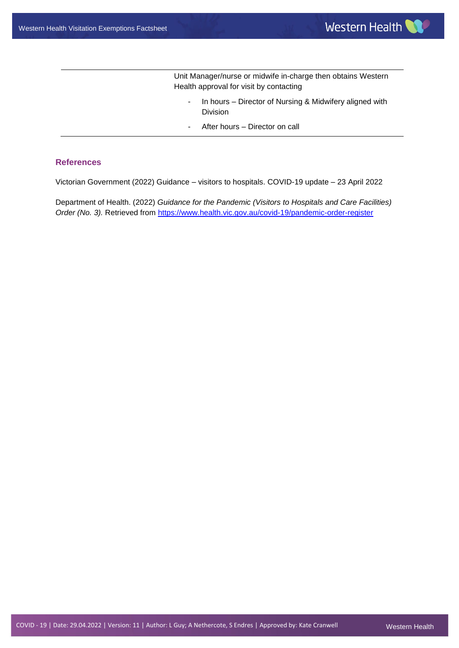Unit Manager/nurse or midwife in-charge then obtains Western Health approval for visit by contacting

- In hours Director of Nursing & Midwifery aligned with Division
- After hours Director on call

#### **References**

Victorian Government (2022) Guidance – visitors to hospitals. COVID-19 update – 23 April 2022

Department of Health. (2022) *Guidance for the Pandemic (Visitors to Hospitals and Care Facilities) Order (No. 3).* Retrieved from<https://www.health.vic.gov.au/covid-19/pandemic-order-register>